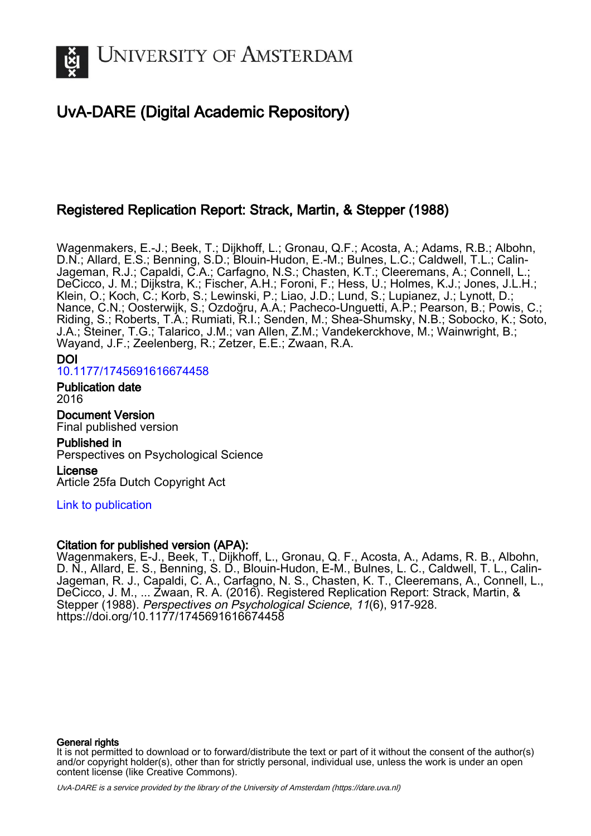

# UvA-DARE (Digital Academic Repository)

# Registered Replication Report: Strack, Martin, & Stepper (1988)

Wagenmakers, E.-J.; Beek, T.; Dijkhoff, L.; Gronau, Q.F.; Acosta, A.; Adams, R.B.; Albohn, D.N.; Allard, E.S.; Benning, S.D.; Blouin-Hudon, E.-M.; Bulnes, L.C.; Caldwell, T.L.; Calin-Jageman, R.J.; Capaldi, C.A.; Carfagno, N.S.; Chasten, K.T.; Cleeremans, A.; Connell, L.; DeCicco, J. M.; Dijkstra, K.; Fischer, A.H.; Foroni, F.; Hess, U.; Holmes, K.J.; Jones, J.L.H.; Klein, O.; Koch, C.; Korb, S.; Lewinski, P.; Liao, J.D.; Lund, S.; Lupianez, J.; Lynott, D.; Nance, C.N.; Oosterwijk, S.; Ozdoğru, A.A.; Pacheco-Unguetti, A.P.; Pearson, B.; Powis, C.; Riding, S.; Roberts, T.A.; Rumiati, R.I.; Senden, M.; Shea-Shumsky, N.B.; Sobocko, K.; Soto, J.A.; Steiner, T.G.; Talarico, J.M.; van Allen, Z.M.; Vandekerckhove, M.; Wainwright, B.; Wayand, J.F.; Zeelenberg, R.; Zetzer, E.E.; Zwaan, R.A.

# DOI [10.1177/1745691616674458](https://doi.org/10.1177/1745691616674458)

Publication date 2016

Document Version Final published version

Published in Perspectives on Psychological Science

License Article 25fa Dutch Copyright Act

# [Link to publication](https://dare.uva.nl/personal/pure/en/publications/registered-replication-report-strack-martin--stepper-1988(e58e008c-44d6-4888-afc2-ab3d8ce87c81).html)

# Citation for published version (APA):

Wagenmakers, E-J., Beek, T., Dijkhoff, L., Gronau, Q. F., Acosta, A., Adams, R. B., Albohn, D. N., Allard, E. S., Benning, S. D., Blouin-Hudon, E-M., Bulnes, L. C., Caldwell, T. L., Calin-Jageman, R. J., Capaldi, C. A., Carfagno, N. S., Chasten, K. T., Cleeremans, A., Connell, L., DeCicco, J. M., ... Zwaan, R. A. (2016). Registered Replication Report: Strack, Martin, & Stepper (1988). Perspectives on Psychological Science, 11(6), 917-928. <https://doi.org/10.1177/1745691616674458>

# General rights

It is not permitted to download or to forward/distribute the text or part of it without the consent of the author(s) and/or copyright holder(s), other than for strictly personal, individual use, unless the work is under an open content license (like Creative Commons).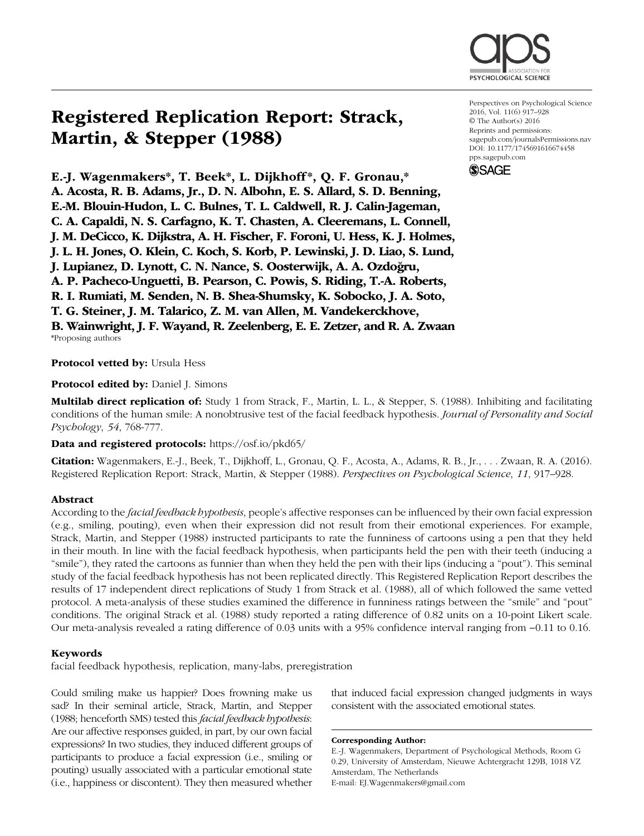

# Registered Replication Report: Strack, Martin, & Stepper (1988)

E.-J. Wagenmakers\*, T. Beek\*, L. Dijkhoff \*, Q. F. Gronau,\* A. Acosta, R. B. Adams, Jr., D. N. Albohn, E. S. Allard, S. D. Benning, E.-M. Blouin-Hudon, L. C. Bulnes, T. L. Caldwell, R. J. Calin-Jageman, C. A. Capaldi, N. S. Carfagno, K. T. Chasten, A. Cleeremans, L. Connell, J. M. DeCicco, K. Dijkstra, A. H. Fischer, F. Foroni, U. Hess, K. J. Holmes, J. L. H. Jones, O. Klein, C. Koch, S. Korb, P. Lewinski, J. D. Liao, S. Lund, J. Lupianez, D. Lynott, C. N. Nance, S. Oosterwijk, A. A. Ozdogru, A. P. Pacheco-Unguetti, B. Pearson, C. Powis, S. Riding, T.-A. Roberts, R. I. Rumiati, M. Senden, N. B. Shea-Shumsky, K. Sobocko, J. A. Soto, T. G. Steiner, J. M. Talarico, Z. M. van Allen, M. Vandekerckhove, B. Wainwright, J. F. Wayand, R. Zeelenberg, E. E. Zetzer, and R. A. Zwaan

\*Proposing authors

Protocol vetted by: Ursula Hess

**Protocol edited by: Daniel J. Simons** 

Multilab direct replication of: Study 1 from Strack, F., Martin, L. L., & Stepper, S. (1988). Inhibiting and facilitating conditions of the human smile: A nonobtrusive test of the facial feedback hypothesis. *Journal of Personality and Social Psychology*, *54*, 768-777.

Data and registered protocols: https://osf.io/pkd65/

Citation: Wagenmakers, E.-J., Beek, T., Dijkhoff, L., Gronau, Q. F., Acosta, A., Adams, R. B., Jr., . . . Zwaan, R. A. (2016). Registered Replication Report: Strack, Martin, & Stepper (1988). *Perspectives on Psychological Science*, *11*, 917–928.

### Abstract

According to the *facial feedback hypothesis*, people's affective responses can be influenced by their own facial expression (e.g., smiling, pouting), even when their expression did not result from their emotional experiences. For example, Strack, Martin, and Stepper (1988) instructed participants to rate the funniness of cartoons using a pen that they held in their mouth. In line with the facial feedback hypothesis, when participants held the pen with their teeth (inducing a "smile"), they rated the cartoons as funnier than when they held the pen with their lips (inducing a "pout"). This seminal study of the facial feedback hypothesis has not been replicated directly. This Registered Replication Report describes the results of 17 independent direct replications of Study 1 from Strack et al. (1988), all of which followed the same vetted protocol. A meta-analysis of these studies examined the difference in funniness ratings between the "smile" and "pout" conditions. The original Strack et al. (1988) study reported a rating difference of 0.82 units on a 10-point Likert scale. Our meta-analysis revealed a rating difference of 0.03 units with a 95% confidence interval ranging from −0.11 to 0.16.

#### Keywords

facial feedback hypothesis, replication, many-labs, preregistration

Could smiling make us happier? Does frowning make us sad? In their seminal article, Strack, Martin, and Stepper (1988; henceforth SMS) tested this *facial feedback hypothesis*: Are our affective responses guided, in part, by our own facial expressions? In two studies, they induced different groups of participants to produce a facial expression (i.e., smiling or pouting) usually associated with a particular emotional state (i.e., happiness or discontent). They then measured whether

that induced facial expression changed judgments in ways consistent with the associated emotional states.

Corresponding Author:

E.-J. Wagenmakers, Department of Psychological Methods, Room G 0.29, University of Amsterdam, Nieuwe Achtergracht 129B, 1018 VZ Amsterdam, The Netherlands E-mail: EJ.Wagenmakers@gmail.com

Perspectives on Psychological Science 2016, Vol. 11(6) 917–928 © The Author(s) 2016 Reprints and permissions: [sagepub.com/journalsPermissions.nav](http://sagepub.com/journalsPermissions.nav) DOI: [10.1177/1745691616674458](http://doi.org/10.1177/1745691616674458) [pps.sagepub.com](http://pps.sagepub.com)

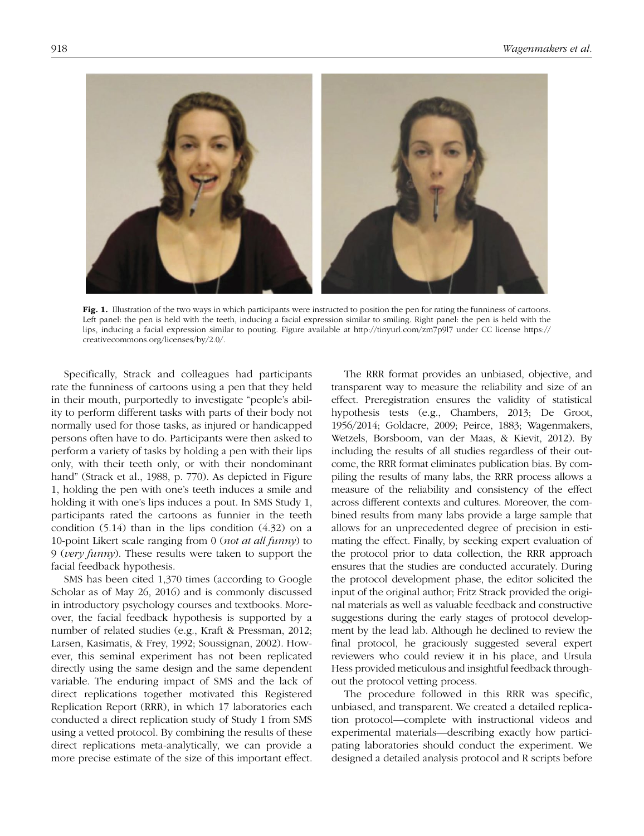

Fig. 1. Illustration of the two ways in which participants were instructed to position the pen for rating the funniness of cartoons. Left panel: the pen is held with the teeth, inducing a facial expression similar to smiling. Right panel: the pen is held with the lips, inducing a facial expression similar to pouting. Figure available at http://tinyurl.com/zm7p9l7 under CC license https:// creativecommons.org/licenses/by/2.0/.

Specifically, Strack and colleagues had participants rate the funniness of cartoons using a pen that they held in their mouth, purportedly to investigate "people's ability to perform different tasks with parts of their body not normally used for those tasks, as injured or handicapped persons often have to do. Participants were then asked to perform a variety of tasks by holding a pen with their lips only, with their teeth only, or with their nondominant hand" (Strack et al., 1988, p. 770). As depicted in Figure 1, holding the pen with one's teeth induces a smile and holding it with one's lips induces a pout. In SMS Study 1, participants rated the cartoons as funnier in the teeth condition (5.14) than in the lips condition (4.32) on a 10-point Likert scale ranging from 0 (*not at all funny*) to 9 (*very funny*). These results were taken to support the facial feedback hypothesis.

SMS has been cited 1,370 times (according to Google Scholar as of May 26, 2016) and is commonly discussed in introductory psychology courses and textbooks. Moreover, the facial feedback hypothesis is supported by a number of related studies (e.g., Kraft & Pressman, 2012; Larsen, Kasimatis, & Frey, 1992; Soussignan, 2002). However, this seminal experiment has not been replicated directly using the same design and the same dependent variable. The enduring impact of SMS and the lack of direct replications together motivated this Registered Replication Report (RRR), in which 17 laboratories each conducted a direct replication study of Study 1 from SMS using a vetted protocol. By combining the results of these direct replications meta-analytically, we can provide a more precise estimate of the size of this important effect.

The RRR format provides an unbiased, objective, and transparent way to measure the reliability and size of an effect. Preregistration ensures the validity of statistical hypothesis tests (e.g., Chambers, 2013; De Groot, 1956/2014; Goldacre, 2009; Peirce, 1883; Wagenmakers, Wetzels, Borsboom, van der Maas, & Kievit, 2012). By including the results of all studies regardless of their outcome, the RRR format eliminates publication bias. By compiling the results of many labs, the RRR process allows a measure of the reliability and consistency of the effect across different contexts and cultures. Moreover, the combined results from many labs provide a large sample that allows for an unprecedented degree of precision in estimating the effect. Finally, by seeking expert evaluation of the protocol prior to data collection, the RRR approach ensures that the studies are conducted accurately. During the protocol development phase, the editor solicited the input of the original author; Fritz Strack provided the original materials as well as valuable feedback and constructive suggestions during the early stages of protocol development by the lead lab. Although he declined to review the final protocol, he graciously suggested several expert reviewers who could review it in his place, and Ursula Hess provided meticulous and insightful feedback throughout the protocol vetting process.

The procedure followed in this RRR was specific, unbiased, and transparent. We created a detailed replication protocol—complete with instructional videos and experimental materials—describing exactly how participating laboratories should conduct the experiment. We designed a detailed analysis protocol and R scripts before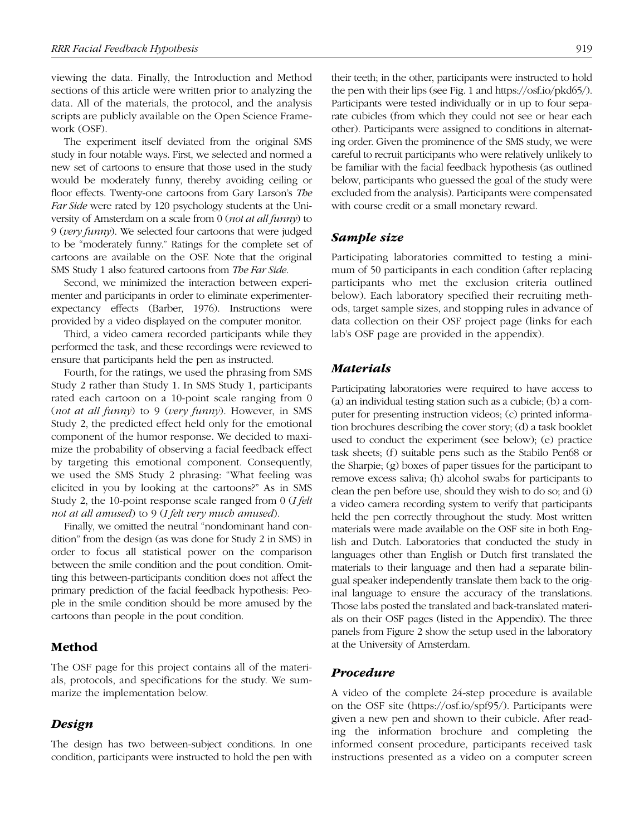viewing the data. Finally, the Introduction and Method sections of this article were written prior to analyzing the data. All of the materials, the protocol, and the analysis scripts are publicly available on the Open Science Framework (OSF).

The experiment itself deviated from the original SMS study in four notable ways. First, we selected and normed a new set of cartoons to ensure that those used in the study would be moderately funny, thereby avoiding ceiling or floor effects. Twenty-one cartoons from Gary Larson's *The Far Side* were rated by 120 psychology students at the University of Amsterdam on a scale from 0 (*not at all funny*) to 9 (*very funny*). We selected four cartoons that were judged to be "moderately funny." Ratings for the complete set of cartoons are available on the OSF. Note that the original SMS Study 1 also featured cartoons from *The Far Side*.

Second, we minimized the interaction between experimenter and participants in order to eliminate experimenterexpectancy effects (Barber, 1976). Instructions were provided by a video displayed on the computer monitor.

Third, a video camera recorded participants while they performed the task, and these recordings were reviewed to ensure that participants held the pen as instructed.

Fourth, for the ratings, we used the phrasing from SMS Study 2 rather than Study 1. In SMS Study 1, participants rated each cartoon on a 10-point scale ranging from 0 (*not at all funny*) to 9 (*very funny*). However, in SMS Study 2, the predicted effect held only for the emotional component of the humor response. We decided to maximize the probability of observing a facial feedback effect by targeting this emotional component. Consequently, we used the SMS Study 2 phrasing: "What feeling was elicited in you by looking at the cartoons?" As in SMS Study 2, the 10-point response scale ranged from 0 (*I felt not at all amused*) to 9 (*I felt very much amused*).

Finally, we omitted the neutral "nondominant hand condition" from the design (as was done for Study 2 in SMS) in order to focus all statistical power on the comparison between the smile condition and the pout condition. Omitting this between-participants condition does not affect the primary prediction of the facial feedback hypothesis: People in the smile condition should be more amused by the cartoons than people in the pout condition.

### Method

The OSF page for this project contains all of the materials, protocols, and specifications for the study. We summarize the implementation below.

## *Design*

The design has two between-subject conditions. In one condition, participants were instructed to hold the pen with their teeth; in the other, participants were instructed to hold the pen with their lips (see Fig. 1 and https://osf.io/pkd65/). Participants were tested individually or in up to four separate cubicles (from which they could not see or hear each other). Participants were assigned to conditions in alternating order. Given the prominence of the SMS study, we were careful to recruit participants who were relatively unlikely to be familiar with the facial feedback hypothesis (as outlined below, participants who guessed the goal of the study were excluded from the analysis). Participants were compensated with course credit or a small monetary reward.

### *Sample size*

Participating laboratories committed to testing a minimum of 50 participants in each condition (after replacing participants who met the exclusion criteria outlined below). Each laboratory specified their recruiting methods, target sample sizes, and stopping rules in advance of data collection on their OSF project page (links for each lab's OSF page are provided in the appendix).

### *Materials*

Participating laboratories were required to have access to (a) an individual testing station such as a cubicle; (b) a computer for presenting instruction videos; (c) printed information brochures describing the cover story; (d) a task booklet used to conduct the experiment (see below); (e) practice task sheets; (f) suitable pens such as the Stabilo Pen68 or the Sharpie; (g) boxes of paper tissues for the participant to remove excess saliva; (h) alcohol swabs for participants to clean the pen before use, should they wish to do so; and (i) a video camera recording system to verify that participants held the pen correctly throughout the study. Most written materials were made available on the OSF site in both English and Dutch. Laboratories that conducted the study in languages other than English or Dutch first translated the materials to their language and then had a separate bilingual speaker independently translate them back to the original language to ensure the accuracy of the translations. Those labs posted the translated and back-translated materials on their OSF pages (listed in the Appendix). The three panels from Figure 2 show the setup used in the laboratory at the University of Amsterdam.

### *Procedure*

A video of the complete 24-step procedure is available on the OSF site (https://osf.io/spf95/). Participants were given a new pen and shown to their cubicle. After reading the information brochure and completing the informed consent procedure, participants received task instructions presented as a video on a computer screen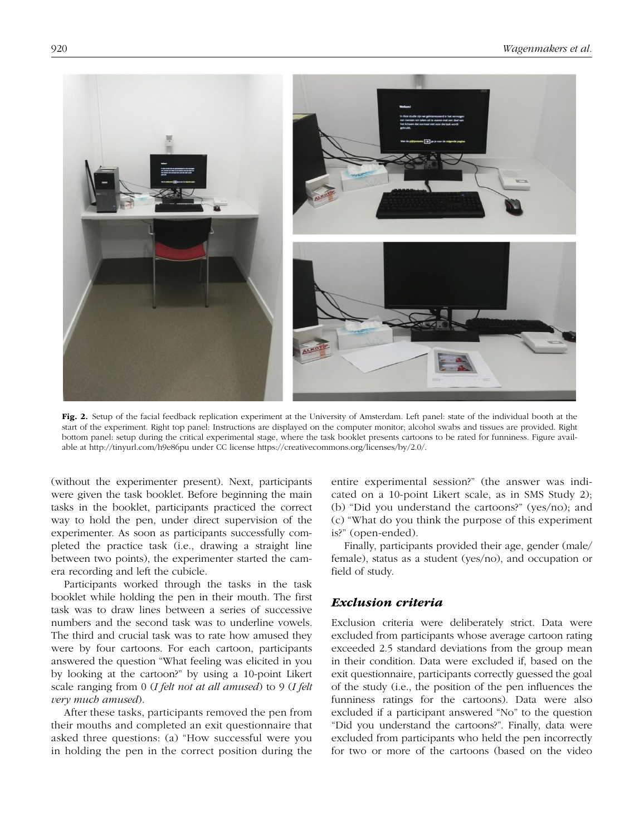

Fig. 2. Setup of the facial feedback replication experiment at the University of Amsterdam. Left panel: state of the individual booth at the start of the experiment. Right top panel: Instructions are displayed on the computer monitor; alcohol swabs and tissues are provided. Right bottom panel: setup during the critical experimental stage, where the task booklet presents cartoons to be rated for funniness. Figure available at http://tinyurl.com/h9e86pu under CC license https://creativecommons.org/licenses/by/2.0/.

(without the experimenter present). Next, participants were given the task booklet. Before beginning the main tasks in the booklet, participants practiced the correct way to hold the pen, under direct supervision of the experimenter. As soon as participants successfully completed the practice task (i.e., drawing a straight line between two points), the experimenter started the camera recording and left the cubicle.

Participants worked through the tasks in the task booklet while holding the pen in their mouth. The first task was to draw lines between a series of successive numbers and the second task was to underline vowels. The third and crucial task was to rate how amused they were by four cartoons. For each cartoon, participants answered the question "What feeling was elicited in you by looking at the cartoon?" by using a 10-point Likert scale ranging from 0 (*I felt not at all amused*) to 9 (*I felt very much amused*).

After these tasks, participants removed the pen from their mouths and completed an exit questionnaire that asked three questions: (a) "How successful were you in holding the pen in the correct position during the entire experimental session?" (the answer was indicated on a 10-point Likert scale, as in SMS Study 2); (b) "Did you understand the cartoons?" (yes/no); and (c) "What do you think the purpose of this experiment is?" (open-ended).

Finally, participants provided their age, gender (male/ female), status as a student (yes/no), and occupation or field of study.

# *Exclusion criteria*

Exclusion criteria were deliberately strict. Data were excluded from participants whose average cartoon rating exceeded 2.5 standard deviations from the group mean in their condition. Data were excluded if, based on the exit questionnaire, participants correctly guessed the goal of the study (i.e., the position of the pen influences the funniness ratings for the cartoons). Data were also excluded if a participant answered "No" to the question "Did you understand the cartoons?". Finally, data were excluded from participants who held the pen incorrectly for two or more of the cartoons (based on the video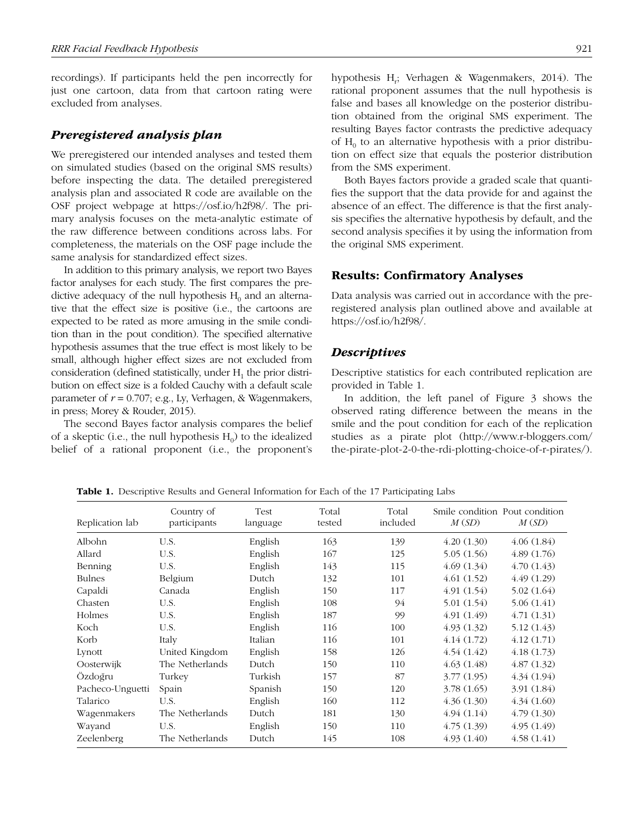recordings). If participants held the pen incorrectly for just one cartoon, data from that cartoon rating were excluded from analyses.

### *Preregistered analysis plan*

We preregistered our intended analyses and tested them on simulated studies (based on the original SMS results) before inspecting the data. The detailed preregistered analysis plan and associated R code are available on the OSF project webpage at https://osf.io/h2f98/. The primary analysis focuses on the meta-analytic estimate of the raw difference between conditions across labs. For completeness, the materials on the OSF page include the same analysis for standardized effect sizes.

In addition to this primary analysis, we report two Bayes factor analyses for each study. The first compares the predictive adequacy of the null hypothesis  $H_0$  and an alternative that the effect size is positive (i.e., the cartoons are expected to be rated as more amusing in the smile condition than in the pout condition). The specified alternative hypothesis assumes that the true effect is most likely to be small, although higher effect sizes are not excluded from consideration (defined statistically, under  $H_1$  the prior distribution on effect size is a folded Cauchy with a default scale parameter of  $r = 0.707$ ; e.g., Ly, Verhagen, & Wagenmakers, in press; Morey & Rouder, 2015).

The second Bayes factor analysis compares the belief of a skeptic (i.e., the null hypothesis  $H_0$ ) to the idealized belief of a rational proponent (i.e., the proponent's

hypothesis H<sub>r</sub>; Verhagen & Wagenmakers, 2014). The rational proponent assumes that the null hypothesis is false and bases all knowledge on the posterior distribution obtained from the original SMS experiment. The resulting Bayes factor contrasts the predictive adequacy of  $H_0$  to an alternative hypothesis with a prior distribution on effect size that equals the posterior distribution from the SMS experiment.

Both Bayes factors provide a graded scale that quantifies the support that the data provide for and against the absence of an effect. The difference is that the first analysis specifies the alternative hypothesis by default, and the second analysis specifies it by using the information from the original SMS experiment.

## Results: Confirmatory Analyses

Data analysis was carried out in accordance with the preregistered analysis plan outlined above and available at https://osf.io/h2f98/.

### *Descriptives*

Descriptive statistics for each contributed replication are provided in Table 1.

In addition, the left panel of Figure 3 shows the observed rating difference between the means in the smile and the pout condition for each of the replication studies as a pirate plot (http://www.r-bloggers.com/ the-pirate-plot-2-0-the-rdi-plotting-choice-of-r-pirates/).

Replication lab Country of participants Test language Total tested Total included Smile condition Pout condition *M* (*SD*) *M* (*SD*) Albohn U.S. English 163 139 4.20 (1.30) 4.06 (1.84) Allard U.S. English 167 125 5.05 (1.56) 4.89 (1.76) Benning U.S. English  $143$  115  $4.69$  (1.34)  $4.70$  (1.43) Bulnes Belgium Dutch 132 101 4.61 (1.52) 4.49 (1.29) Capaldi Canada English 150 117 4.91 (1.54) 5.02 (1.64) Chasten U.S. English 108 94 5.01 (1.54) 5.06 (1.41) Holmes U.S. English 187 99 4.91 (1.49) 4.71 (1.31) Koch U.S. English 116 100 4.93 (1.32) 5.12 (1.43) Korb Italy Italian 116 101 4.14 (1.72) 4.12 (1.71) Lynott United Kingdom English 158 126 4.54 (1.42) 4.18 (1.73) Oosterwijk The Netherlands Dutch 150 110 4.63 (1.48) 4.87 (1.32) Özdoğru Turkey Turkish 157 87 3.77 (1.95) 4.34 (1.94) Pacheco-Unguetti Spain Spanish 150 120 3.78 (1.65) 3.91 (1.84) Talarico U.S. English 160 112 4.36 (1.30) 4.34 (1.60) Wagenmakers The Netherlands Dutch  $181$  130  $4.94$  (1.14)  $4.79$  (1.30) Wayand U.S. English 150 110 4.75 (1.39) 4.95 (1.49) Zeelenberg The Netherlands Dutch 145 108 4.93 (1.40) 4.58 (1.41)

Table 1. Descriptive Results and General Information for Each of the 17 Participating Labs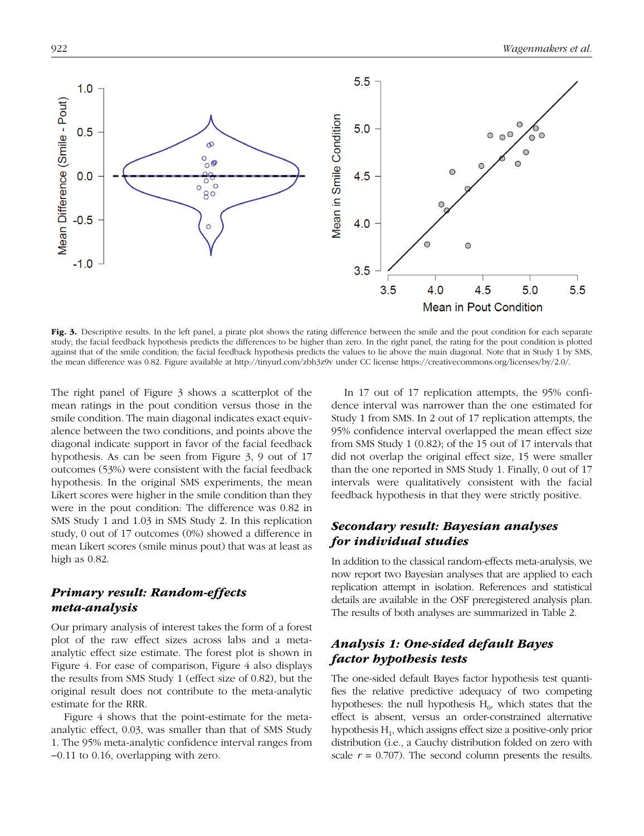

Fig. 3. Descriptive results. In the left panel, a pirate plot shows the rating difference between the smile and the pout condition for each separate study; the facial feedback hypothesis predicts the differences to be higher than zero. In the right panel, the rating for the pout condition is plotted against that of the smile condition; the facial feedback hypothesis predicts the values to lie above the main diagonal. Note that in Study 1 by SMS, the mean difference was 0.82. Figure available at http://tinyurl.com/zbh3z9v under CC license https://creativecommons.org/licenses/by/2.0/.

The right panel of Figure 3 shows a scatterplot of the mean ratings in the pout condition versus those in the smile condition. The main diagonal indicates exact equivalence between the two conditions, and points above the diagonal indicate support in favor of the facial feedback hypothesis. As can be seen from Figure 3, 9 out of 17 outcomes (53%) were consistent with the facial feedback hypothesis. In the original SMS experiments, the mean Likert scores were higher in the smile condition than they were in the pout condition: The difference was 0.82 in SMS Study 1 and 1.03 in SMS Study 2. In this replication study, 0 out of 17 outcomes (0%) showed a difference in mean Likert scores (smile minus pout) that was at least as high as 0.82.

# *Primary result: Random-effects meta-analysis*

Our primary analysis of interest takes the form of a forest plot of the raw effect sizes across labs and a metaanalytic effect size estimate. The forest plot is shown in Figure 4. For ease of comparison, Figure 4 also displays the results from SMS Study 1 (effect size of 0.82), but the original result does not contribute to the meta-analytic estimate for the RRR.

Figure 4 shows that the point-estimate for the metaanalytic effect, 0.03, was smaller than that of SMS Study 1. The 95% meta-analytic confidence interval ranges from −0.11 to 0.16, overlapping with zero.

In 17 out of 17 replication attempts, the 95% confidence interval was narrower than the one estimated for Study 1 from SMS. In 2 out of 17 replication attempts, the 95% confidence interval overlapped the mean effect size from SMS Study 1 (0.82); of the 15 out of 17 intervals that did not overlap the original effect size, 15 were smaller than the one reported in SMS Study 1. Finally, 0 out of 17 intervals were qualitatively consistent with the facial feedback hypothesis in that they were strictly positive.

# *Secondary result: Bayesian analyses for individual studies*

In addition to the classical random-effects meta-analysis, we now report two Bayesian analyses that are applied to each replication attempt in isolation. References and statistical details are available in the OSF preregistered analysis plan. The results of both analyses are summarized in Table 2.

# *Analysis 1: One-sided default Bayes factor hypothesis tests*

The one-sided default Bayes factor hypothesis test quantifies the relative predictive adequacy of two competing hypotheses: the null hypothesis  $H_0$ , which states that the effect is absent, versus an order-constrained alternative hypothesis  $H_1$ , which assigns effect size a positive-only prior distribution (i.e., a Cauchy distribution folded on zero with scale  $r = 0.707$ ). The second column presents the results.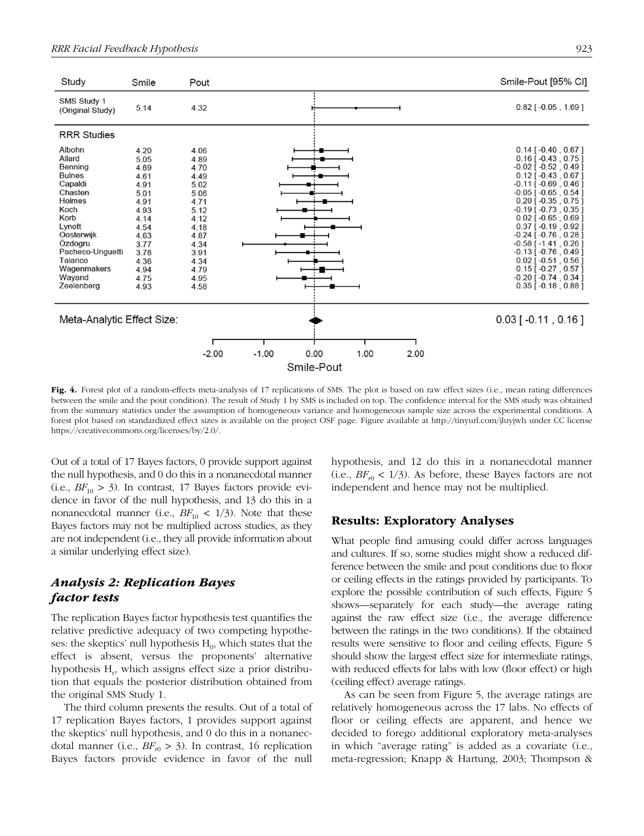

Fig. 4. Forest plot of a random-effects meta-analysis of 17 replications of SMS. The plot is based on raw effect sizes (i.e., mean rating differences between the smile and the pout condition). The result of Study 1 by SMS is included on top. The confidence interval for the SMS study was obtained from the summary statistics under the assumption of homogeneous variance and homogeneous sample size across the experimental conditions. A forest plot based on standardized effect sizes is available on the project OSF page. Figure available at http://tinyurl.com/jluyjwh under CC license https://creativecommons.org/licenses/by/2.0/.

Out of a total of 17 Bayes factors, 0 provide support against the null hypothesis, and 0 do this in a nonanecdotal manner  $(i.e., BF_{10} > 3)$ . In contrast, 17 Bayes factors provide evidence in favor of the null hypothesis, and 13 do this in a nonanecdotal manner (i.e.,  $BF_{10}$  < 1/3). Note that these Bayes factors may not be multiplied across studies, as they are not independent (i.e., they all provide information about a similar underlying effect size).

# *Analysis 2: Replication Bayes factor tests*

The replication Bayes factor hypothesis test quantifies the relative predictive adequacy of two competing hypotheses: the skeptics' null hypothesis  $H_0$ , which states that the effect is absent, versus the proponents' alternative hypothesis H<sub>r</sub>, which assigns effect size a prior distribution that equals the posterior distribution obtained from the original SMS Study 1.

The third column presents the results. Out of a total of 17 replication Bayes factors, 1 provides support against the skeptics' null hypothesis, and 0 do this in a nonanecdotal manner (i.e.,  $BF_{r0} > 3$ ). In contrast, 16 replication Bayes factors provide evidence in favor of the null hypothesis, and 12 do this in a nonanecdotal manner  $(i.e., BF_{r0} < 1/3)$ . As before, these Bayes factors are not independent and hence may not be multiplied.

## Results: Exploratory Analyses

What people find amusing could differ across languages and cultures. If so, some studies might show a reduced difference between the smile and pout conditions due to floor or ceiling effects in the ratings provided by participants. To explore the possible contribution of such effects, Figure 5 shows—separately for each study—the average rating against the raw effect size (i.e., the average difference between the ratings in the two conditions). If the obtained results were sensitive to floor and ceiling effects, Figure 5 should show the largest effect size for intermediate ratings, with reduced effects for labs with low (floor effect) or high (ceiling effect) average ratings.

As can be seen from Figure 5, the average ratings are relatively homogeneous across the 17 labs. No effects of floor or ceiling effects are apparent, and hence we decided to forego additional exploratory meta-analyses in which "average rating" is added as a covariate (i.e., meta-regression; Knapp & Hartung, 2003; Thompson &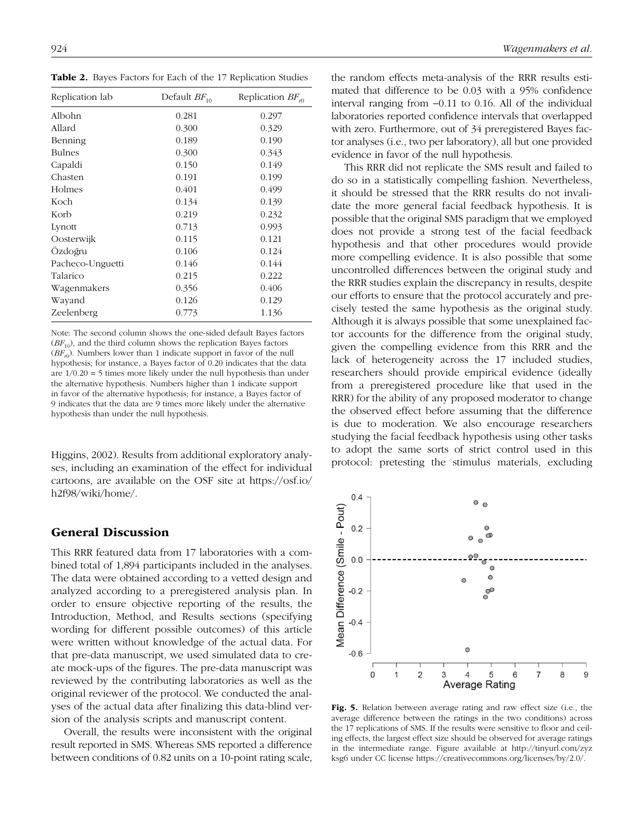Table 2. Bayes Factors for Each of the 17 Replication Studies

| Replication lab  | Default $BF_{10}$ | Replication $BF_{i0}$ |
|------------------|-------------------|-----------------------|
| Albohn           | 0.281             | 0.297                 |
| Allard           | 0.300             | 0.329                 |
| Benning          | 0.189             | 0.190                 |
| <b>Bulnes</b>    | 0.300             | 0.343                 |
| Capaldi          | 0.150             | 0.149                 |
| Chasten          | 0.191             | 0.199                 |
| Holmes           | 0.401             | 0.499                 |
| Koch             | 0.134             | 0.139                 |
| Korb             | 0.219             | 0.232                 |
| Lynott           | 0.713             | 0.993                 |
| Oosterwijk       | 0.115             | 0.121                 |
| Ozdoğru          | 0.106             | 0.124                 |
| Pacheco-Unguetti | 0.146             | 0.144                 |
| Talarico         | 0.215             | 0.222                 |
| Wagenmakers      | 0.356             | 0.406                 |
| Wayand           | 0.126             | 0.129                 |
| Zeelenberg       | 0.773             | 1.136                 |

Note: The second column shows the one-sided default Bayes factors  $(BF_{10})$ , and the third column shows the replication Bayes factors  $(BF_{r0})$ . Numbers lower than 1 indicate support in favor of the null hypothesis; for instance, a Bayes factor of 0.20 indicates that the data are  $1/0.20 = 5$  times more likely under the null hypothesis than under the alternative hypothesis. Numbers higher than 1 indicate support in favor of the alternative hypothesis; for instance, a Bayes factor of 9 indicates that the data are 9 times more likely under the alternative hypothesis than under the null hypothesis.

Higgins, 2002). Results from additional exploratory analyses, including an examination of the effect for individual cartoons, are available on the OSF site at https://osf.io/ h2f98/wiki/home/.

## General Discussion

This RRR featured data from 17 laboratories with a combined total of 1,894 participants included in the analyses. The data were obtained according to a vetted design and analyzed according to a preregistered analysis plan. In order to ensure objective reporting of the results, the Introduction, Method, and Results sections (specifying wording for different possible outcomes) of this article were written without knowledge of the actual data. For that pre-data manuscript, we used simulated data to create mock-ups of the figures. The pre-data manuscript was reviewed by the contributing laboratories as well as the original reviewer of the protocol. We conducted the analyses of the actual data after finalizing this data-blind version of the analysis scripts and manuscript content.

Overall, the results were inconsistent with the original result reported in SMS. Whereas SMS reported a difference between conditions of 0.82 units on a 10-point rating scale, the random effects meta-analysis of the RRR results estimated that difference to be 0.03 with a 95% confidence interval ranging from −0.11 to 0.16. All of the individual laboratories reported confidence intervals that overlapped with zero. Furthermore, out of 34 preregistered Bayes factor analyses (i.e., two per laboratory), all but one provided evidence in favor of the null hypothesis.

This RRR did not replicate the SMS result and failed to do so in a statistically compelling fashion. Nevertheless, it should be stressed that the RRR results do not invalidate the more general facial feedback hypothesis. It is possible that the original SMS paradigm that we employed does not provide a strong test of the facial feedback hypothesis and that other procedures would provide more compelling evidence. It is also possible that some uncontrolled differences between the original study and the RRR studies explain the discrepancy in results, despite our efforts to ensure that the protocol accurately and precisely tested the same hypothesis as the original study. Although it is always possible that some unexplained factor accounts for the difference from the original study, given the compelling evidence from this RRR and the lack of heterogeneity across the 17 included studies, researchers should provide empirical evidence (ideally from a preregistered procedure like that used in the RRR) for the ability of any proposed moderator to change the observed effect before assuming that the difference is due to moderation. We also encourage researchers studying the facial feedback hypothesis using other tasks to adopt the same sorts of strict control used in this protocol: pretesting the stimulus materials, excluding



Fig. 5. Relation between average rating and raw effect size (i.e., the average difference between the ratings in the two conditions) across the 17 replications of SMS. If the results were sensitive to floor and ceiling effects, the largest effect size should be observed for average ratings in the intermediate range. Figure available at http://tinyurl.com/zyz ksg6 under CC license https://creativecommons.org/licenses/by/2.0/.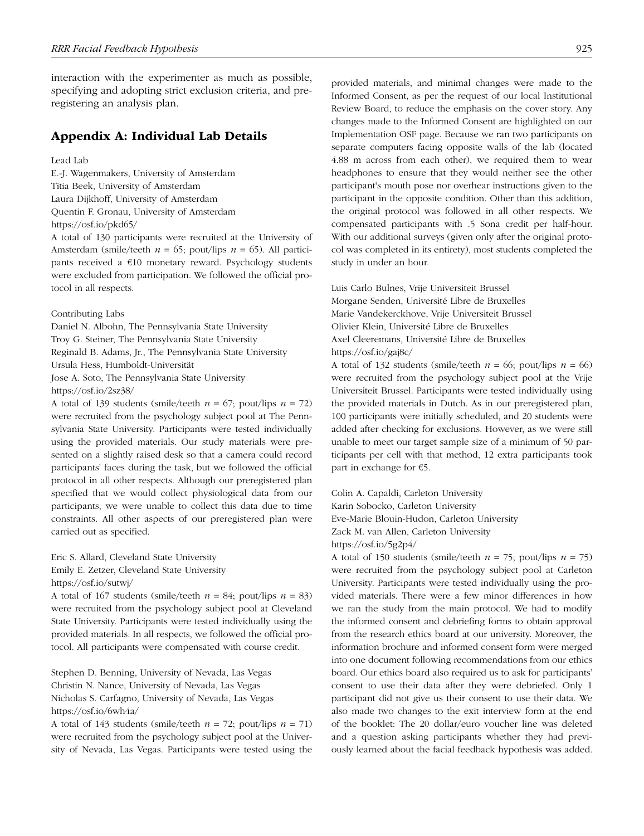interaction with the experimenter as much as possible, specifying and adopting strict exclusion criteria, and preregistering an analysis plan.

# Appendix A: Individual Lab Details

### Lead Lab

E.-J. Wagenmakers, University of Amsterdam Titia Beek, University of Amsterdam Laura Dijkhoff, University of Amsterdam Quentin F. Gronau, University of Amsterdam https://osf.io/pkd65/

A total of 130 participants were recruited at the University of Amsterdam (smile/teeth *n* = 65; pout/lips *n* = 65). All participants received a €10 monetary reward. Psychology students were excluded from participation. We followed the official protocol in all respects.

Contributing Labs

Daniel N. Albohn, The Pennsylvania State University Troy G. Steiner, The Pennsylvania State University Reginald B. Adams, Jr., The Pennsylvania State University Ursula Hess, Humboldt-Universität Jose A. Soto, The Pennsylvania State University https://osf.io/2sz38/

A total of 139 students (smile/teeth  $n = 67$ ; pout/lips  $n = 72$ ) were recruited from the psychology subject pool at The Pennsylvania State University. Participants were tested individually using the provided materials. Our study materials were presented on a slightly raised desk so that a camera could record participants' faces during the task, but we followed the official protocol in all other respects. Although our preregistered plan specified that we would collect physiological data from our participants, we were unable to collect this data due to time constraints. All other aspects of our preregistered plan were carried out as specified.

Eric S. Allard, Cleveland State University Emily E. Zetzer, Cleveland State University https://osf.io/sutwj/

A total of 167 students (smile/teeth  $n = 84$ ; pout/lips  $n = 83$ ) were recruited from the psychology subject pool at Cleveland State University. Participants were tested individually using the provided materials. In all respects, we followed the official protocol. All participants were compensated with course credit.

Stephen D. Benning, University of Nevada, Las Vegas Christin N. Nance, University of Nevada, Las Vegas Nicholas S. Carfagno, University of Nevada, Las Vegas https://osf.io/6wh4a/

A total of 143 students (smile/teeth  $n = 72$ ; pout/lips  $n = 71$ ) were recruited from the psychology subject pool at the University of Nevada, Las Vegas. Participants were tested using the

provided materials, and minimal changes were made to the Informed Consent, as per the request of our local Institutional Review Board, to reduce the emphasis on the cover story. Any changes made to the Informed Consent are highlighted on our Implementation OSF page. Because we ran two participants on separate computers facing opposite walls of the lab (located 4.88 m across from each other), we required them to wear headphones to ensure that they would neither see the other participant's mouth pose nor overhear instructions given to the participant in the opposite condition. Other than this addition, the original protocol was followed in all other respects. We compensated participants with .5 Sona credit per half-hour. With our additional surveys (given only after the original protocol was completed in its entirety), most students completed the study in under an hour.

Luis Carlo Bulnes, Vrije Universiteit Brussel Morgane Senden, Université Libre de Bruxelles Marie Vandekerckhove, Vrije Universiteit Brussel Olivier Klein, Université Libre de Bruxelles Axel Cleeremans, Université Libre de Bruxelles https://osf.io/gaj8c/

A total of 132 students (smile/teeth  $n = 66$ ; pout/lips  $n = 66$ ) were recruited from the psychology subject pool at the Vrije Universiteit Brussel. Participants were tested individually using the provided materials in Dutch. As in our preregistered plan, 100 participants were initially scheduled, and 20 students were added after checking for exclusions. However, as we were still unable to meet our target sample size of a minimum of 50 participants per cell with that method, 12 extra participants took part in exchange for €5.

Colin A. Capaldi, Carleton University Karin Sobocko, Carleton University Eve-Marie Blouin-Hudon, Carleton University Zack M. van Allen, Carleton University https://osf.io/5g2p4/

A total of 150 students (smile/teeth  $n = 75$ ; pout/lips  $n = 75$ ) were recruited from the psychology subject pool at Carleton University. Participants were tested individually using the provided materials. There were a few minor differences in how we ran the study from the main protocol. We had to modify the informed consent and debriefing forms to obtain approval from the research ethics board at our university. Moreover, the information brochure and informed consent form were merged into one document following recommendations from our ethics board. Our ethics board also required us to ask for participants' consent to use their data after they were debriefed. Only 1 participant did not give us their consent to use their data. We also made two changes to the exit interview form at the end of the booklet: The 20 dollar/euro voucher line was deleted and a question asking participants whether they had previously learned about the facial feedback hypothesis was added.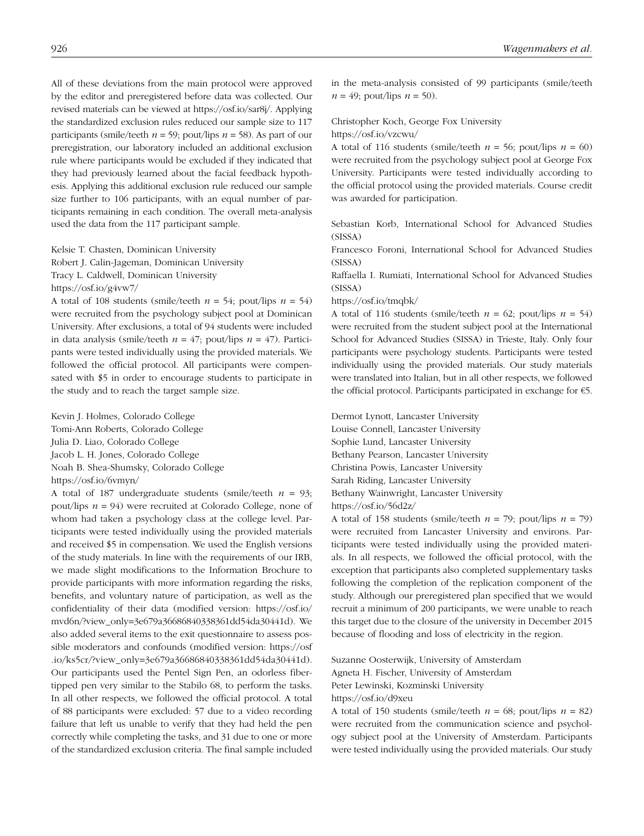All of these deviations from the main protocol were approved by the editor and preregistered before data was collected. Our revised materials can be viewed at https://osf.io/sar8j/. Applying the standardized exclusion rules reduced our sample size to 117 participants (smile/teeth  $n = 59$ ; pout/lips  $n = 58$ ). As part of our preregistration, our laboratory included an additional exclusion rule where participants would be excluded if they indicated that they had previously learned about the facial feedback hypothesis. Applying this additional exclusion rule reduced our sample size further to 106 participants, with an equal number of participants remaining in each condition. The overall meta-analysis used the data from the 117 participant sample.

Kelsie T. Chasten, Dominican University Robert J. Calin-Jageman, Dominican University Tracy L. Caldwell, Dominican University https://osf.io/g4vw7/

A total of 108 students (smile/teeth  $n = 54$ ; pout/lips  $n = 54$ ) were recruited from the psychology subject pool at Dominican University. After exclusions, a total of 94 students were included in data analysis (smile/teeth  $n = 47$ ; pout/lips  $n = 47$ ). Participants were tested individually using the provided materials. We followed the official protocol. All participants were compensated with \$5 in order to encourage students to participate in the study and to reach the target sample size.

Kevin J. Holmes, Colorado College Tomi-Ann Roberts, Colorado College Julia D. Liao, Colorado College Jacob L. H. Jones, Colorado College Noah B. Shea-Shumsky, Colorado College https://osf.io/6vmyn/

A total of 187 undergraduate students (smile/teeth  $n = 93$ ; pout/lips *n* = 94) were recruited at Colorado College, none of whom had taken a psychology class at the college level. Participants were tested individually using the provided materials and received \$5 in compensation. We used the English versions of the study materials. In line with the requirements of our IRB, we made slight modifications to the Information Brochure to provide participants with more information regarding the risks, benefits, and voluntary nature of participation, as well as the confidentiality of their data (modified version: https://osf.io/ mvd6n/?view\_only=3e679a36686840338361dd54da30441d). We also added several items to the exit questionnaire to assess possible moderators and confounds (modified version: https://osf .io/ks5cr/?view\_only=3e679a36686840338361dd54da30441d). Our participants used the Pentel Sign Pen, an odorless fibertipped pen very similar to the Stabilo 68, to perform the tasks. In all other respects, we followed the official protocol. A total of 88 participants were excluded: 57 due to a video recording failure that left us unable to verify that they had held the pen correctly while completing the tasks, and 31 due to one or more of the standardized exclusion criteria. The final sample included

in the meta-analysis consisted of 99 participants (smile/teeth  $n = 49$ ; pout/lips  $n = 50$ ).

### Christopher Koch, George Fox University

https://osf.io/vzcwu/

A total of 116 students (smile/teeth  $n = 56$ ; pout/lips  $n = 60$ ) were recruited from the psychology subject pool at George Fox University. Participants were tested individually according to the official protocol using the provided materials. Course credit was awarded for participation.

Sebastian Korb, International School for Advanced Studies (SISSA)

Francesco Foroni, International School for Advanced Studies (SISSA)

Raffaella I. Rumiati, International School for Advanced Studies (SISSA)

#### https://osf.io/tmqbk/

A total of 116 students (smile/teeth  $n = 62$ ; pout/lips  $n = 54$ ) were recruited from the student subject pool at the International School for Advanced Studies (SISSA) in Trieste, Italy. Only four participants were psychology students. Participants were tested individually using the provided materials. Our study materials were translated into Italian, but in all other respects, we followed the official protocol. Participants participated in exchange for €5.

Dermot Lynott, Lancaster University Louise Connell, Lancaster University Sophie Lund, Lancaster University Bethany Pearson, Lancaster University Christina Powis, Lancaster University Sarah Riding, Lancaster University Bethany Wainwright, Lancaster University https://osf.io/56d2z/

A total of 158 students (smile/teeth  $n = 79$ ; pout/lips  $n = 79$ ) were recruited from Lancaster University and environs. Participants were tested individually using the provided materials. In all respects, we followed the official protocol, with the exception that participants also completed supplementary tasks following the completion of the replication component of the study. Although our preregistered plan specified that we would recruit a minimum of 200 participants, we were unable to reach this target due to the closure of the university in December 2015 because of flooding and loss of electricity in the region.

Suzanne Oosterwijk, University of Amsterdam Agneta H. Fischer, University of Amsterdam Peter Lewinski, Kozminski University https://osf.io/d9xeu

A total of 150 students (smile/teeth  $n = 68$ ; pout/lips  $n = 82$ ) were recruited from the communication science and psychology subject pool at the University of Amsterdam. Participants were tested individually using the provided materials. Our study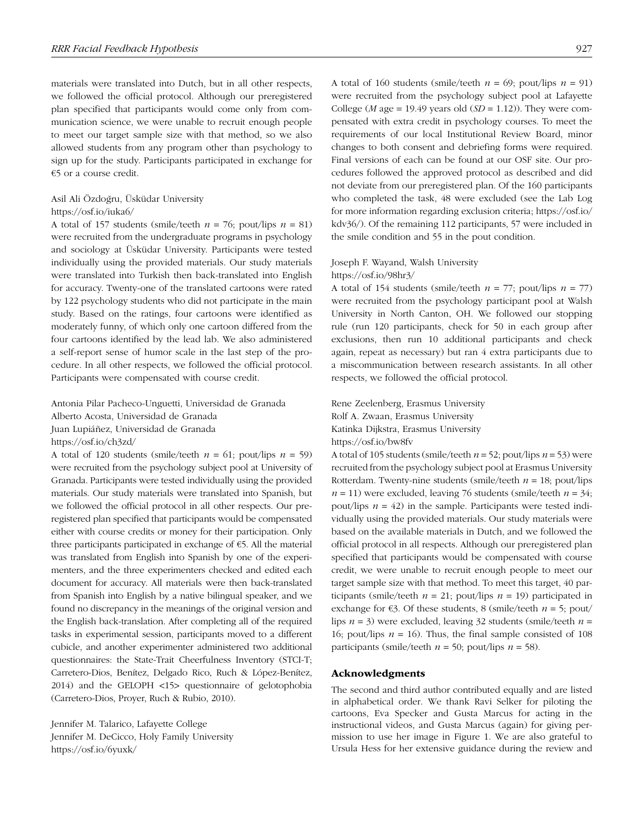materials were translated into Dutch, but in all other respects, we followed the official protocol. Although our preregistered plan specified that participants would come only from communication science, we were unable to recruit enough people to meet our target sample size with that method, so we also allowed students from any program other than psychology to sign up for the study. Participants participated in exchange for €5 or a course credit.

# Asil Ali Özdoğru, Üsküdar University

# https://osf.io/iuka6/

A total of 157 students (smile/teeth  $n = 76$ ; pout/lips  $n = 81$ ) were recruited from the undergraduate programs in psychology and sociology at Üsküdar University. Participants were tested individually using the provided materials. Our study materials were translated into Turkish then back-translated into English for accuracy. Twenty-one of the translated cartoons were rated by 122 psychology students who did not participate in the main study. Based on the ratings, four cartoons were identified as moderately funny, of which only one cartoon differed from the four cartoons identified by the lead lab. We also administered a self-report sense of humor scale in the last step of the procedure. In all other respects, we followed the official protocol. Participants were compensated with course credit.

Antonia Pilar Pacheco-Unguetti, Universidad de Granada Alberto Acosta, Universidad de Granada Juan Lupiáñez, Universidad de Granada https://osf.io/ch3zd/

A total of 120 students (smile/teeth  $n = 61$ ; pout/lips  $n = 59$ ) were recruited from the psychology subject pool at University of Granada. Participants were tested individually using the provided materials. Our study materials were translated into Spanish, but we followed the official protocol in all other respects. Our preregistered plan specified that participants would be compensated either with course credits or money for their participation. Only three participants participated in exchange of €5. All the material was translated from English into Spanish by one of the experimenters, and the three experimenters checked and edited each document for accuracy. All materials were then back-translated from Spanish into English by a native bilingual speaker, and we found no discrepancy in the meanings of the original version and the English back-translation. After completing all of the required tasks in experimental session, participants moved to a different cubicle, and another experimenter administered two additional questionnaires: the State-Trait Cheerfulness Inventory (STCI-T; Carretero-Dios, Benítez, Delgado Rico, Ruch & López-Benítez, 2014) and the GELOPH <15> questionnaire of gelotophobia (Carretero-Dios, Proyer, Ruch & Rubio, 2010).

Jennifer M. Talarico, Lafayette College Jennifer M. DeCicco, Holy Family University https://osf.io/6yuxk/

A total of 160 students (smile/teeth  $n = 69$ ; pout/lips  $n = 91$ ) were recruited from the psychology subject pool at Lafayette College (*M* age = 19.49 years old (*SD* = 1.12)). They were compensated with extra credit in psychology courses. To meet the requirements of our local Institutional Review Board, minor changes to both consent and debriefing forms were required. Final versions of each can be found at our OSF site. Our procedures followed the approved protocol as described and did not deviate from our preregistered plan. Of the 160 participants who completed the task, 48 were excluded (see the Lab Log for more information regarding exclusion criteria; https://osf.io/ kdv36/). Of the remaining 112 participants, 57 were included in the smile condition and 55 in the pout condition.

# Joseph F. Wayand, Walsh University

#### https://osf.io/98hr3/

A total of 154 students (smile/teeth  $n = 77$ ; pout/lips  $n = 77$ ) were recruited from the psychology participant pool at Walsh University in North Canton, OH. We followed our stopping rule (run 120 participants, check for 50 in each group after exclusions, then run 10 additional participants and check again, repeat as necessary) but ran 4 extra participants due to a miscommunication between research assistants. In all other respects, we followed the official protocol.

Rene Zeelenberg, Erasmus University Rolf A. Zwaan, Erasmus University Katinka Dijkstra, Erasmus University https://osf.io/bw8fv

A total of 105 students (smile/teeth *n* = 52; pout/lips *n* = 53) were recruited from the psychology subject pool at Erasmus University Rotterdam. Twenty-nine students (smile/teeth *n* = 18; pout/lips  $n = 11$ ) were excluded, leaving 76 students (smile/teeth  $n = 34$ ; pout/lips  $n = 42$ ) in the sample. Participants were tested individually using the provided materials. Our study materials were based on the available materials in Dutch, and we followed the official protocol in all respects. Although our preregistered plan specified that participants would be compensated with course credit, we were unable to recruit enough people to meet our target sample size with that method. To meet this target, 40 participants (smile/teeth  $n = 21$ ; pout/lips  $n = 19$ ) participated in exchange for  $\epsilon$ 3. Of these students, 8 (smile/teeth  $n = 5$ ; pout/ lips *n* = 3) were excluded, leaving 32 students (smile/teeth *n* = 16; pout/lips  $n = 16$ ). Thus, the final sample consisted of 108 participants (smile/teeth  $n = 50$ ; pout/lips  $n = 58$ ).

#### Acknowledgments

The second and third author contributed equally and are listed in alphabetical order. We thank Ravi Selker for piloting the cartoons, Eva Specker and Gusta Marcus for acting in the instructional videos, and Gusta Marcus (again) for giving permission to use her image in Figure 1. We are also grateful to Ursula Hess for her extensive guidance during the review and